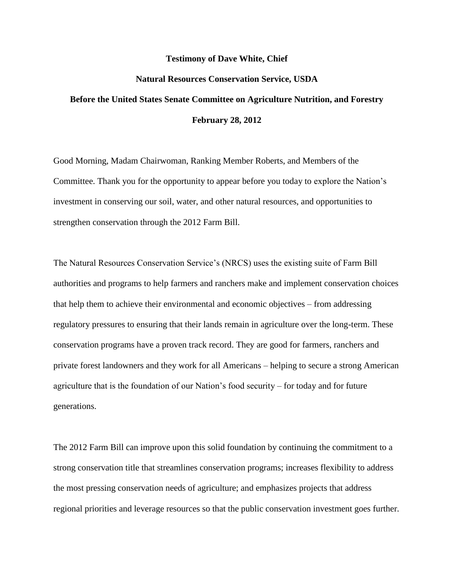## **Testimony of Dave White, Chief**

## **Natural Resources Conservation Service, USDA**

# **Before the United States Senate Committee on Agriculture Nutrition, and Forestry February 28, 2012**

Good Morning, Madam Chairwoman, Ranking Member Roberts, and Members of the Committee. Thank you for the opportunity to appear before you today to explore the Nation's investment in conserving our soil, water, and other natural resources, and opportunities to strengthen conservation through the 2012 Farm Bill.

The Natural Resources Conservation Service's (NRCS) uses the existing suite of Farm Bill authorities and programs to help farmers and ranchers make and implement conservation choices that help them to achieve their environmental and economic objectives – from addressing regulatory pressures to ensuring that their lands remain in agriculture over the long-term. These conservation programs have a proven track record. They are good for farmers, ranchers and private forest landowners and they work for all Americans – helping to secure a strong American agriculture that is the foundation of our Nation's food security – for today and for future generations.

The 2012 Farm Bill can improve upon this solid foundation by continuing the commitment to a strong conservation title that streamlines conservation programs; increases flexibility to address the most pressing conservation needs of agriculture; and emphasizes projects that address regional priorities and leverage resources so that the public conservation investment goes further.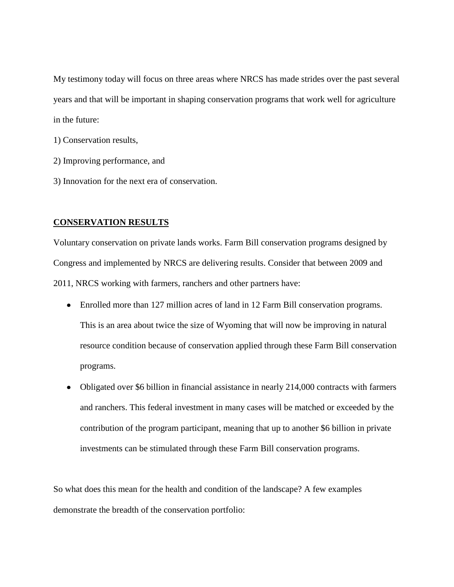My testimony today will focus on three areas where NRCS has made strides over the past several years and that will be important in shaping conservation programs that work well for agriculture in the future:

- 1) Conservation results,
- 2) Improving performance, and
- 3) Innovation for the next era of conservation.

# **CONSERVATION RESULTS**

Voluntary conservation on private lands works. Farm Bill conservation programs designed by Congress and implemented by NRCS are delivering results. Consider that between 2009 and 2011, NRCS working with farmers, ranchers and other partners have:

- Enrolled more than 127 million acres of land in 12 Farm Bill conservation programs. This is an area about twice the size of Wyoming that will now be improving in natural resource condition because of conservation applied through these Farm Bill conservation programs.
- Obligated over \$6 billion in financial assistance in nearly 214,000 contracts with farmers and ranchers. This federal investment in many cases will be matched or exceeded by the contribution of the program participant, meaning that up to another \$6 billion in private investments can be stimulated through these Farm Bill conservation programs.

So what does this mean for the health and condition of the landscape? A few examples demonstrate the breadth of the conservation portfolio: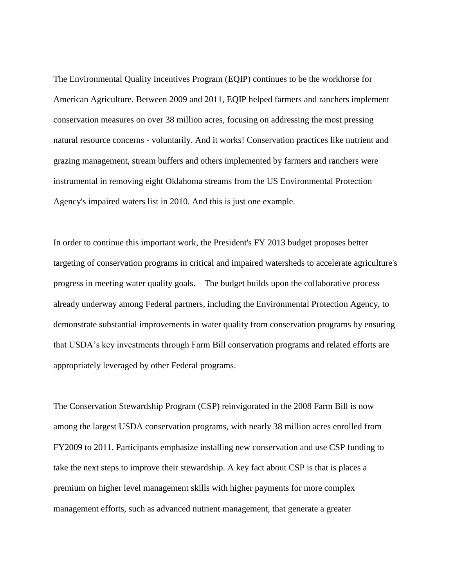The Environmental Quality Incentives Program (EQIP) continues to be the workhorse for American Agriculture. Between 2009 and 2011, EQIP helped farmers and ranchers implement conservation measures on over 38 million acres, focusing on addressing the most pressing natural resource concerns - voluntarily. And it works! Conservation practices like nutrient and grazing management, stream buffers and others implemented by farmers and ranchers were instrumental in removing eight Oklahoma streams from the US Environmental Protection Agency's impaired waters list in 2010. And this is just one example.

In order to continue this important work, the President's FY 2013 budget proposes better targeting of conservation programs in critical and impaired watersheds to accelerate agriculture's progress in meeting water quality goals. The budget builds upon the collaborative process already underway among Federal partners, including the Environmental Protection Agency, to demonstrate substantial improvements in water quality from conservation programs by ensuring that USDA's key investments through Farm Bill conservation programs and related efforts are appropriately leveraged by other Federal programs.

The Conservation Stewardship Program (CSP) reinvigorated in the 2008 Farm Bill is now among the largest USDA conservation programs, with nearly 38 million acres enrolled from FY2009 to 2011. Participants emphasize installing new conservation and use CSP funding to take the next steps to improve their stewardship. A key fact about CSP is that is places a premium on higher level management skills with higher payments for more complex management efforts, such as advanced nutrient management, that generate a greater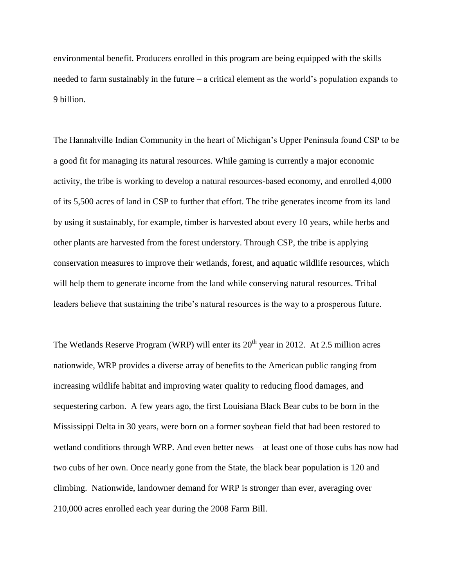environmental benefit. Producers enrolled in this program are being equipped with the skills needed to farm sustainably in the future  $-a$  critical element as the world's population expands to 9 billion.

The Hannahville Indian Community in the heart of Michigan's Upper Peninsula found CSP to be a good fit for managing its natural resources. While gaming is currently a major economic activity, the tribe is working to develop a natural resources-based economy, and enrolled 4,000 of its 5,500 acres of land in CSP to further that effort. The tribe generates income from its land by using it sustainably, for example, timber is harvested about every 10 years, while herbs and other plants are harvested from the forest understory. Through CSP, the tribe is applying conservation measures to improve their wetlands, forest, and aquatic wildlife resources, which will help them to generate income from the land while conserving natural resources. Tribal leaders believe that sustaining the tribe's natural resources is the way to a prosperous future.

The Wetlands Reserve Program (WRP) will enter its  $20<sup>th</sup>$  year in 2012. At 2.5 million acres nationwide, WRP provides a diverse array of benefits to the American public ranging from increasing wildlife habitat and improving water quality to reducing flood damages, and sequestering carbon. A few years ago, the first Louisiana Black Bear cubs to be born in the Mississippi Delta in 30 years, were born on a former soybean field that had been restored to wetland conditions through WRP. And even better news – at least one of those cubs has now had two cubs of her own. Once nearly gone from the State, the black bear population is 120 and climbing. Nationwide, landowner demand for WRP is stronger than ever, averaging over 210,000 acres enrolled each year during the 2008 Farm Bill.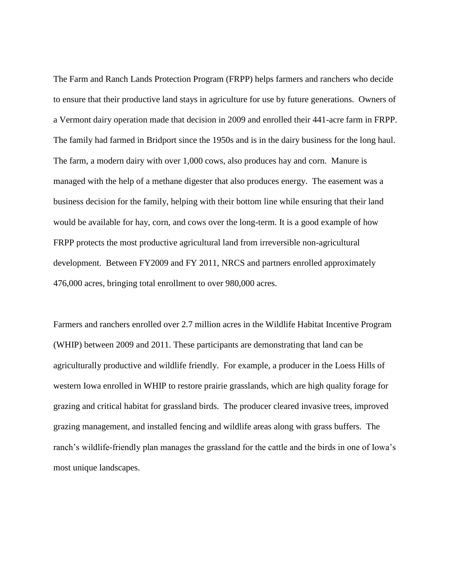The Farm and Ranch Lands Protection Program (FRPP) helps farmers and ranchers who decide to ensure that their productive land stays in agriculture for use by future generations. Owners of a Vermont dairy operation made that decision in 2009 and enrolled their 441-acre farm in FRPP. The family had farmed in Bridport since the 1950s and is in the dairy business for the long haul. The farm, a modern dairy with over 1,000 cows, also produces hay and corn. Manure is managed with the help of a methane digester that also produces energy. The easement was a business decision for the family, helping with their bottom line while ensuring that their land would be available for hay, corn, and cows over the long-term. It is a good example of how FRPP protects the most productive agricultural land from irreversible non-agricultural development. Between FY2009 and FY 2011, NRCS and partners enrolled approximately 476,000 acres, bringing total enrollment to over 980,000 acres.

Farmers and ranchers enrolled over 2.7 million acres in the Wildlife Habitat Incentive Program (WHIP) between 2009 and 2011. These participants are demonstrating that land can be agriculturally productive and wildlife friendly. For example, a producer in the Loess Hills of western Iowa enrolled in WHIP to restore prairie grasslands, which are high quality forage for grazing and critical habitat for grassland birds. The producer cleared invasive trees, improved grazing management, and installed fencing and wildlife areas along with grass buffers. The ranch's wildlife-friendly plan manages the grassland for the cattle and the birds in one of Iowa's most unique landscapes.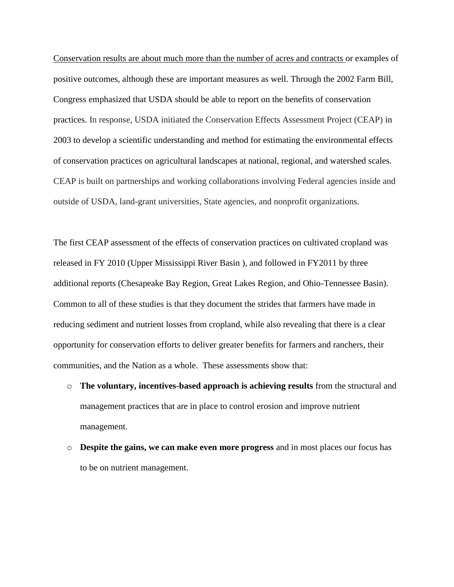Conservation results are about much more than the number of acres and contracts or examples of positive outcomes, although these are important measures as well. Through the 2002 Farm Bill, Congress emphasized that USDA should be able to report on the benefits of conservation practices. In response, USDA initiated the Conservation Effects Assessment Project (CEAP) in 2003 to develop a scientific understanding and method for estimating the environmental effects of conservation practices on agricultural landscapes at national, regional, and watershed scales. CEAP is built on partnerships and working collaborations involving Federal agencies inside and outside of USDA, land-grant universities, State agencies, and nonprofit organizations.

The first CEAP assessment of the effects of conservation practices on cultivated cropland was released in FY 2010 (Upper Mississippi River Basin ), and followed in FY2011 by three additional reports (Chesapeake Bay Region, Great Lakes Region, and Ohio-Tennessee Basin). Common to all of these studies is that they document the strides that farmers have made in reducing sediment and nutrient losses from cropland, while also revealing that there is a clear opportunity for conservation efforts to deliver greater benefits for farmers and ranchers, their communities, and the Nation as a whole. These assessments show that:

- o **The voluntary, incentives-based approach is achieving results** from the structural and management practices that are in place to control erosion and improve nutrient management.
- o **Despite the gains, we can make even more progress** and in most places our focus has to be on nutrient management.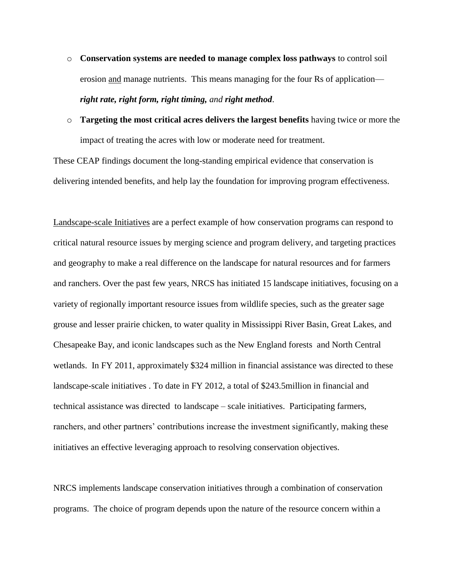- o **Conservation systems are needed to manage complex loss pathways** to control soil erosion and manage nutrients. This means managing for the four Rs of application *right rate, right form, right timing, and right method*.
- o **Targeting the most critical acres delivers the largest benefits** having twice or more the impact of treating the acres with low or moderate need for treatment.

These CEAP findings document the long-standing empirical evidence that conservation is delivering intended benefits, and help lay the foundation for improving program effectiveness.

Landscape-scale Initiatives are a perfect example of how conservation programs can respond to critical natural resource issues by merging science and program delivery, and targeting practices and geography to make a real difference on the landscape for natural resources and for farmers and ranchers. Over the past few years, NRCS has initiated 15 landscape initiatives, focusing on a variety of regionally important resource issues from wildlife species, such as the greater sage grouse and lesser prairie chicken, to water quality in Mississippi River Basin, Great Lakes, and Chesapeake Bay, and iconic landscapes such as the New England forests and North Central wetlands. In FY 2011, approximately \$324 million in financial assistance was directed to these landscape-scale initiatives . To date in FY 2012, a total of \$243.5million in financial and technical assistance was directed to landscape – scale initiatives. Participating farmers, ranchers, and other partners' contributions increase the investment significantly, making these initiatives an effective leveraging approach to resolving conservation objectives.

NRCS implements landscape conservation initiatives through a combination of conservation programs. The choice of program depends upon the nature of the resource concern within a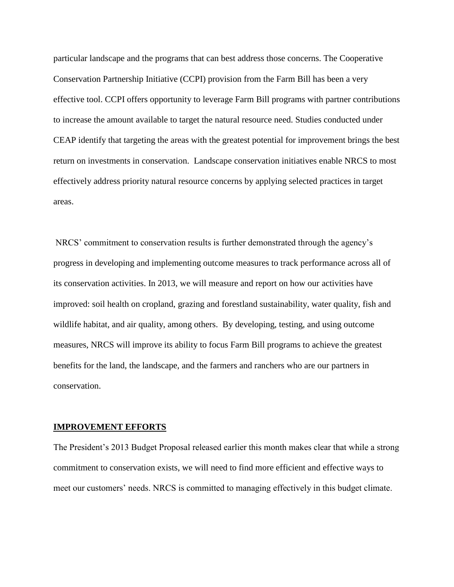particular landscape and the programs that can best address those concerns. The Cooperative Conservation Partnership Initiative (CCPI) provision from the Farm Bill has been a very effective tool. CCPI offers opportunity to leverage Farm Bill programs with partner contributions to increase the amount available to target the natural resource need. Studies conducted under CEAP identify that targeting the areas with the greatest potential for improvement brings the best return on investments in conservation. Landscape conservation initiatives enable NRCS to most effectively address priority natural resource concerns by applying selected practices in target areas.

NRCS' commitment to conservation results is further demonstrated through the agency's progress in developing and implementing outcome measures to track performance across all of its conservation activities. In 2013, we will measure and report on how our activities have improved: soil health on cropland, grazing and forestland sustainability, water quality, fish and wildlife habitat, and air quality, among others. By developing, testing, and using outcome measures, NRCS will improve its ability to focus Farm Bill programs to achieve the greatest benefits for the land, the landscape, and the farmers and ranchers who are our partners in conservation.

## **IMPROVEMENT EFFORTS**

The President's 2013 Budget Proposal released earlier this month makes clear that while a strong commitment to conservation exists, we will need to find more efficient and effective ways to meet our customers' needs. NRCS is committed to managing effectively in this budget climate.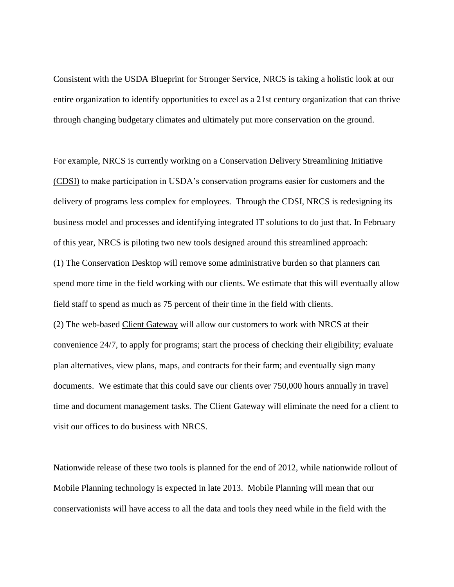Consistent with the USDA Blueprint for Stronger Service, NRCS is taking a holistic look at our entire organization to identify opportunities to excel as a 21st century organization that can thrive through changing budgetary climates and ultimately put more conservation on the ground.

For example, NRCS is currently working on a Conservation Delivery Streamlining Initiative (CDSI) to make participation in USDA's conservation programs easier for customers and the delivery of programs less complex for employees. Through the CDSI, NRCS is redesigning its business model and processes and identifying integrated IT solutions to do just that. In February of this year, NRCS is piloting two new tools designed around this streamlined approach: (1) The Conservation Desktop will remove some administrative burden so that planners can spend more time in the field working with our clients. We estimate that this will eventually allow field staff to spend as much as 75 percent of their time in the field with clients. (2) The web-based Client Gateway will allow our customers to work with NRCS at their convenience 24/7, to apply for programs; start the process of checking their eligibility; evaluate plan alternatives, view plans, maps, and contracts for their farm; and eventually sign many documents. We estimate that this could save our clients over 750,000 hours annually in travel time and document management tasks. The Client Gateway will eliminate the need for a client to visit our offices to do business with NRCS.

Nationwide release of these two tools is planned for the end of 2012, while nationwide rollout of Mobile Planning technology is expected in late 2013. Mobile Planning will mean that our conservationists will have access to all the data and tools they need while in the field with the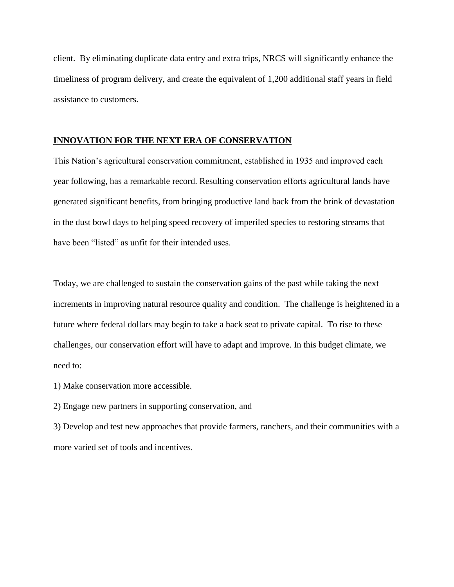client. By eliminating duplicate data entry and extra trips, NRCS will significantly enhance the timeliness of program delivery, and create the equivalent of 1,200 additional staff years in field assistance to customers.

## **INNOVATION FOR THE NEXT ERA OF CONSERVATION**

This Nation's agricultural conservation commitment, established in 1935 and improved each year following, has a remarkable record. Resulting conservation efforts agricultural lands have generated significant benefits, from bringing productive land back from the brink of devastation in the dust bowl days to helping speed recovery of imperiled species to restoring streams that have been "listed" as unfit for their intended uses.

Today, we are challenged to sustain the conservation gains of the past while taking the next increments in improving natural resource quality and condition. The challenge is heightened in a future where federal dollars may begin to take a back seat to private capital. To rise to these challenges, our conservation effort will have to adapt and improve. In this budget climate, we need to:

1) Make conservation more accessible.

2) Engage new partners in supporting conservation, and

3) Develop and test new approaches that provide farmers, ranchers, and their communities with a more varied set of tools and incentives.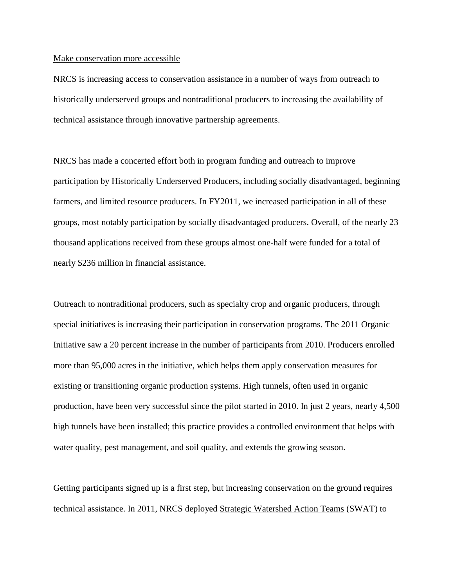#### Make conservation more accessible

NRCS is increasing access to conservation assistance in a number of ways from outreach to historically underserved groups and nontraditional producers to increasing the availability of technical assistance through innovative partnership agreements.

NRCS has made a concerted effort both in program funding and outreach to improve participation by Historically Underserved Producers, including socially disadvantaged, beginning farmers, and limited resource producers. In FY2011, we increased participation in all of these groups, most notably participation by socially disadvantaged producers. Overall, of the nearly 23 thousand applications received from these groups almost one-half were funded for a total of nearly \$236 million in financial assistance.

Outreach to nontraditional producers, such as specialty crop and organic producers, through special initiatives is increasing their participation in conservation programs. The 2011 Organic Initiative saw a 20 percent increase in the number of participants from 2010. Producers enrolled more than 95,000 acres in the initiative, which helps them apply conservation measures for existing or transitioning organic production systems. High tunnels, often used in organic production, have been very successful since the pilot started in 2010. In just 2 years, nearly 4,500 high tunnels have been installed; this practice provides a controlled environment that helps with water quality, pest management, and soil quality, and extends the growing season.

Getting participants signed up is a first step, but increasing conservation on the ground requires technical assistance. In 2011, NRCS deployed Strategic Watershed Action Teams (SWAT) to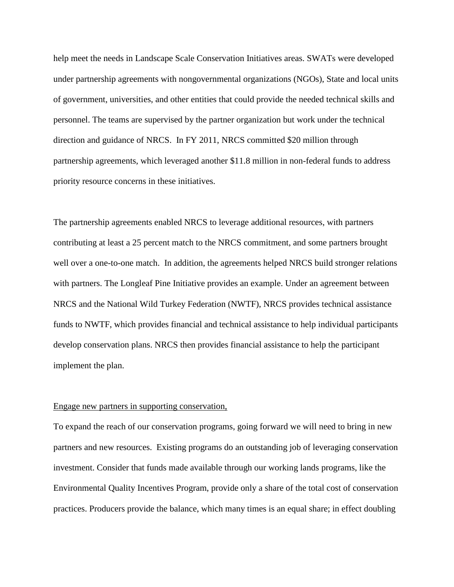help meet the needs in Landscape Scale Conservation Initiatives areas. SWATs were developed under partnership agreements with nongovernmental organizations (NGOs), State and local units of government, universities, and other entities that could provide the needed technical skills and personnel. The teams are supervised by the partner organization but work under the technical direction and guidance of NRCS. In FY 2011, NRCS committed \$20 million through partnership agreements, which leveraged another \$11.8 million in non-federal funds to address priority resource concerns in these initiatives.

The partnership agreements enabled NRCS to leverage additional resources, with partners contributing at least a 25 percent match to the NRCS commitment, and some partners brought well over a one-to-one match. In addition, the agreements helped NRCS build stronger relations with partners. The Longleaf Pine Initiative provides an example. Under an agreement between NRCS and the National Wild Turkey Federation (NWTF), NRCS provides technical assistance funds to NWTF, which provides financial and technical assistance to help individual participants develop conservation plans. NRCS then provides financial assistance to help the participant implement the plan.

#### Engage new partners in supporting conservation,

To expand the reach of our conservation programs, going forward we will need to bring in new partners and new resources. Existing programs do an outstanding job of leveraging conservation investment. Consider that funds made available through our working lands programs, like the Environmental Quality Incentives Program, provide only a share of the total cost of conservation practices. Producers provide the balance, which many times is an equal share; in effect doubling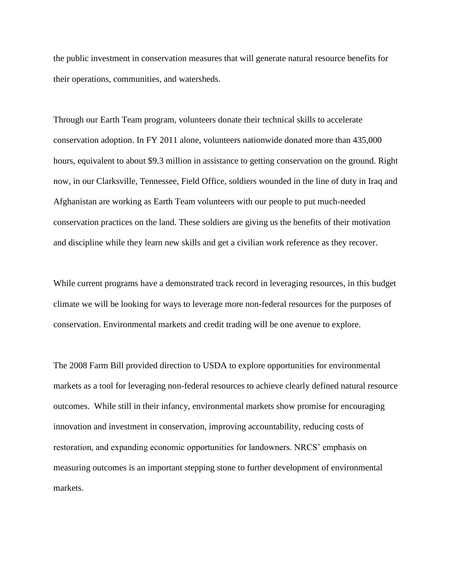the public investment in conservation measures that will generate natural resource benefits for their operations, communities, and watersheds.

Through our Earth Team program, volunteers donate their technical skills to accelerate conservation adoption. In FY 2011 alone, volunteers nationwide donated more than 435,000 hours, equivalent to about \$9.3 million in assistance to getting conservation on the ground. Right now, in our Clarksville, Tennessee, Field Office, soldiers wounded in the line of duty in Iraq and Afghanistan are working as Earth Team volunteers with our people to put much-needed conservation practices on the land. These soldiers are giving us the benefits of their motivation and discipline while they learn new skills and get a civilian work reference as they recover.

While current programs have a demonstrated track record in leveraging resources, in this budget climate we will be looking for ways to leverage more non-federal resources for the purposes of conservation. Environmental markets and credit trading will be one avenue to explore.

The 2008 Farm Bill provided direction to USDA to explore opportunities for environmental markets as a tool for leveraging non-federal resources to achieve clearly defined natural resource outcomes. While still in their infancy, environmental markets show promise for encouraging innovation and investment in conservation, improving accountability, reducing costs of restoration, and expanding economic opportunities for landowners. NRCS' emphasis on measuring outcomes is an important stepping stone to further development of environmental markets.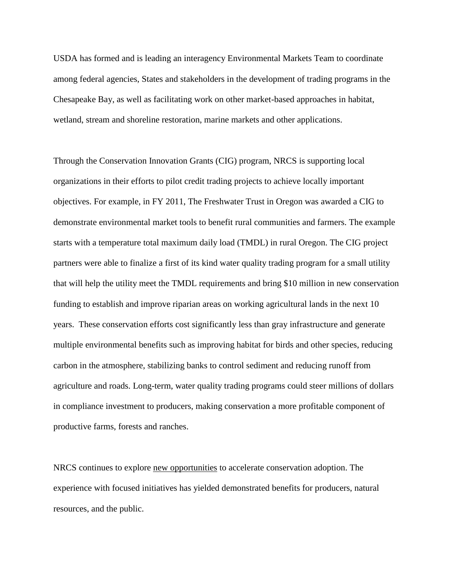USDA has formed and is leading an interagency Environmental Markets Team to coordinate among federal agencies, States and stakeholders in the development of trading programs in the Chesapeake Bay, as well as facilitating work on other market-based approaches in habitat, wetland, stream and shoreline restoration, marine markets and other applications.

Through the Conservation Innovation Grants (CIG) program, NRCS is supporting local organizations in their efforts to pilot credit trading projects to achieve locally important objectives. For example, in FY 2011, The Freshwater Trust in Oregon was awarded a CIG to demonstrate environmental market tools to benefit rural communities and farmers. The example starts with a temperature total maximum daily load (TMDL) in rural Oregon. The CIG project partners were able to finalize a first of its kind water quality trading program for a small utility that will help the utility meet the TMDL requirements and bring \$10 million in new conservation funding to establish and improve riparian areas on working agricultural lands in the next 10 years. These conservation efforts cost significantly less than gray infrastructure and generate multiple environmental benefits such as improving habitat for birds and other species, reducing carbon in the atmosphere, stabilizing banks to control sediment and reducing runoff from agriculture and roads. Long-term, water quality trading programs could steer millions of dollars in compliance investment to producers, making conservation a more profitable component of productive farms, forests and ranches.

NRCS continues to explore new opportunities to accelerate conservation adoption. The experience with focused initiatives has yielded demonstrated benefits for producers, natural resources, and the public.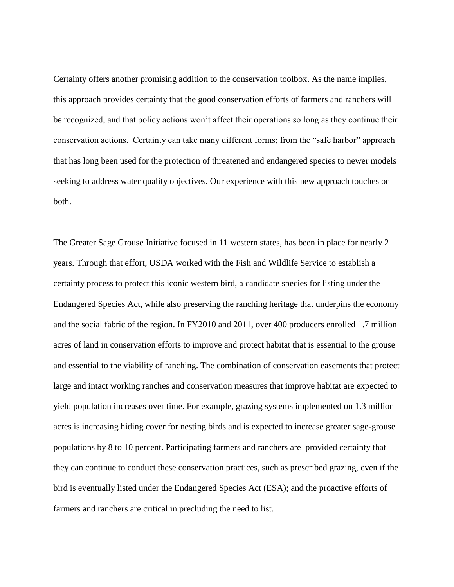Certainty offers another promising addition to the conservation toolbox. As the name implies, this approach provides certainty that the good conservation efforts of farmers and ranchers will be recognized, and that policy actions won't affect their operations so long as they continue their conservation actions. Certainty can take many different forms; from the "safe harbor" approach that has long been used for the protection of threatened and endangered species to newer models seeking to address water quality objectives. Our experience with this new approach touches on both.

The Greater Sage Grouse Initiative focused in 11 western states, has been in place for nearly 2 years. Through that effort, USDA worked with the Fish and Wildlife Service to establish a certainty process to protect this iconic western bird, a candidate species for listing under the Endangered Species Act, while also preserving the ranching heritage that underpins the economy and the social fabric of the region. In FY2010 and 2011, over 400 producers enrolled 1.7 million acres of land in conservation efforts to improve and protect habitat that is essential to the grouse and essential to the viability of ranching. The combination of conservation easements that protect large and intact working ranches and conservation measures that improve habitat are expected to yield population increases over time. For example, grazing systems implemented on 1.3 million acres is increasing hiding cover for nesting birds and is expected to increase greater sage-grouse populations by 8 to 10 percent. Participating farmers and ranchers are provided certainty that they can continue to conduct these conservation practices, such as prescribed grazing, even if the bird is eventually listed under the Endangered Species Act (ESA); and the proactive efforts of farmers and ranchers are critical in precluding the need to list.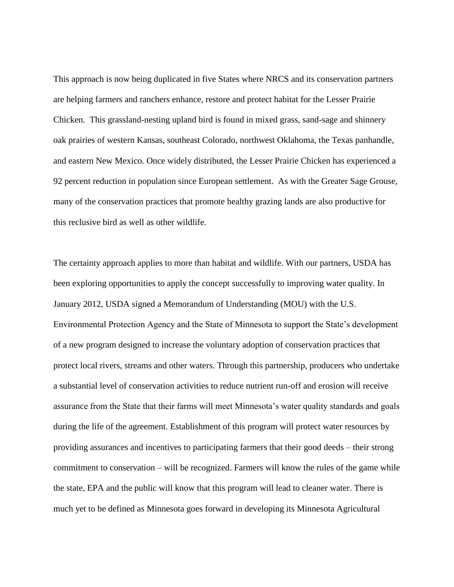This approach is now being duplicated in five States where NRCS and its conservation partners are helping farmers and ranchers enhance, restore and protect habitat for the Lesser Prairie Chicken. This grassland-nesting upland bird is found in mixed grass, sand-sage and shinnery oak prairies of western Kansas, southeast Colorado, northwest Oklahoma, the Texas panhandle, and eastern New Mexico. Once widely distributed, the Lesser Prairie Chicken has experienced a 92 percent reduction in population since European settlement. As with the Greater Sage Grouse, many of the conservation practices that promote healthy grazing lands are also productive for this reclusive bird as well as other wildlife.

The certainty approach applies to more than habitat and wildlife. With our partners, USDA has been exploring opportunities to apply the concept successfully to improving water quality. In January 2012, USDA signed a Memorandum of Understanding (MOU) with the U.S. Environmental Protection Agency and the State of Minnesota to support the State's development of a new program designed to increase the voluntary adoption of conservation practices that protect local rivers, streams and other waters. Through this partnership, producers who undertake a substantial level of conservation activities to reduce nutrient run-off and erosion will receive assurance from the State that their farms will meet Minnesota's water quality standards and goals during the life of the agreement. Establishment of this program will protect water resources by providing assurances and incentives to participating farmers that their good deeds – their strong commitment to conservation – will be recognized. Farmers will know the rules of the game while the state, EPA and the public will know that this program will lead to cleaner water. There is much yet to be defined as Minnesota goes forward in developing its Minnesota Agricultural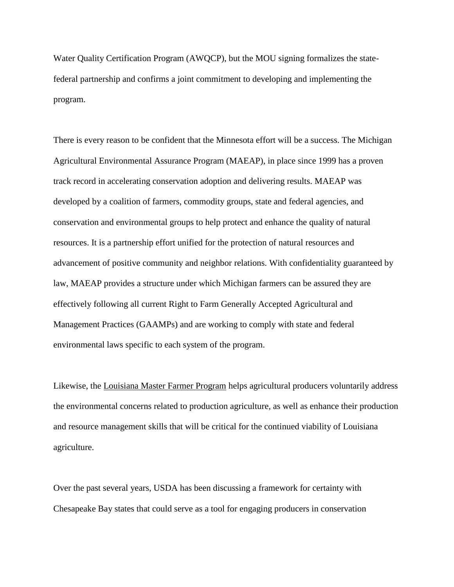Water Quality Certification Program (AWQCP), but the MOU signing formalizes the statefederal partnership and confirms a joint commitment to developing and implementing the program.

There is every reason to be confident that the Minnesota effort will be a success. The Michigan Agricultural Environmental Assurance Program (MAEAP), in place since 1999 has a proven track record in accelerating conservation adoption and delivering results. MAEAP was developed by a coalition of farmers, commodity groups, state and federal agencies, and conservation and environmental groups to help protect and enhance the quality of natural resources. It is a partnership effort unified for the protection of natural resources and advancement of positive community and neighbor relations. With confidentiality guaranteed by law, MAEAP provides a structure under which Michigan farmers can be assured they are effectively following all current Right to Farm Generally Accepted Agricultural and Management Practices (GAAMPs) and are working to comply with state and federal environmental laws specific to each system of the program.

Likewise, the Louisiana Master Farmer Program helps agricultural producers voluntarily address the environmental concerns related to production agriculture, as well as enhance their production and resource management skills that will be critical for the continued viability of Louisiana agriculture.

Over the past several years, USDA has been discussing a framework for certainty with Chesapeake Bay states that could serve as a tool for engaging producers in conservation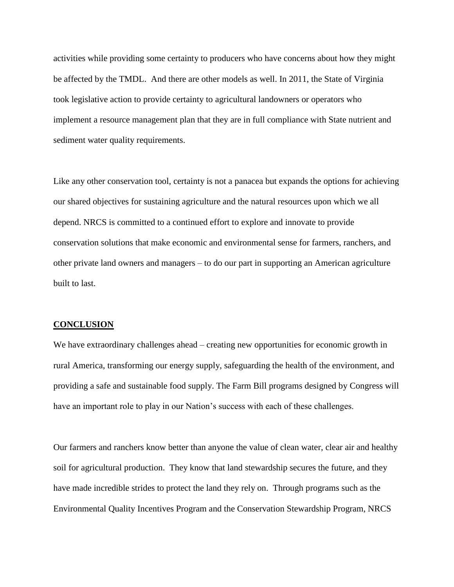activities while providing some certainty to producers who have concerns about how they might be affected by the TMDL. And there are other models as well. In 2011, the State of Virginia took legislative action to provide certainty to agricultural landowners or operators who implement a resource management plan that they are in full compliance with State nutrient and sediment water quality requirements.

Like any other conservation tool, certainty is not a panacea but expands the options for achieving our shared objectives for sustaining agriculture and the natural resources upon which we all depend. NRCS is committed to a continued effort to explore and innovate to provide conservation solutions that make economic and environmental sense for farmers, ranchers, and other private land owners and managers – to do our part in supporting an American agriculture built to last.

#### **CONCLUSION**

We have extraordinary challenges ahead – creating new opportunities for economic growth in rural America, transforming our energy supply, safeguarding the health of the environment, and providing a safe and sustainable food supply. The Farm Bill programs designed by Congress will have an important role to play in our Nation's success with each of these challenges.

Our farmers and ranchers know better than anyone the value of clean water, clear air and healthy soil for agricultural production. They know that land stewardship secures the future, and they have made incredible strides to protect the land they rely on. Through programs such as the Environmental Quality Incentives Program and the Conservation Stewardship Program, NRCS